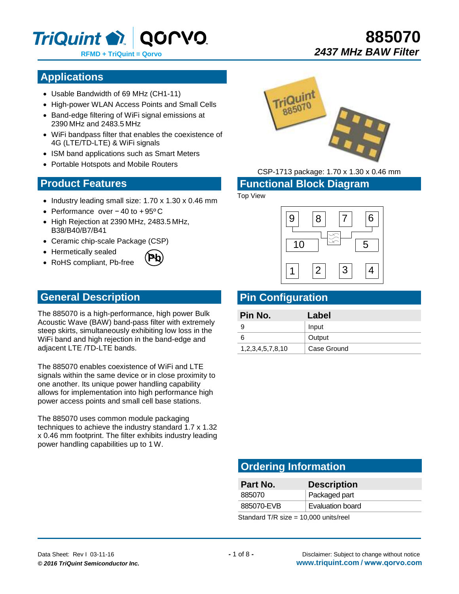

# **885070**  *2437 MHz BAW Filter*

## **Applications**

- Usable Bandwidth of 69 MHz (CH1-11)
- High-power WLAN Access Points and Small Cells
- Band-edge filtering of WiFi signal emissions at 2390 MHz and 2483.5 MHz
- WiFi bandpass filter that enables the coexistence of 4G (LTE/TD-LTE) & WiFi signals
- ISM band applications such as Smart Meters
- Portable Hotspots and Mobile Routers

### **Product Features**

- $\bullet$  Industry leading small size: 1.70 x 1.30 x 0.46 mm
- Performance over − 40 to + 95º C
- High Rejection at 2390 MHz, 2483.5 MHz, B38/B40/B7/B41
- Ceramic chip-scale Package (CSP)
- Hermetically sealed
- RoHS compliant, Pb-free



#### **General Description**

The 885070 is a high-performance, high power Bulk Acoustic Wave (BAW) band-pass filter with extremely steep skirts, simultaneously exhibiting low loss in the WiFi band and high rejection in the band-edge and adjacent LTE /TD-LTE bands.

The 885070 enables coexistence of WiFi and LTE signals within the same device or in close proximity to one another. Its unique power handling capability allows for implementation into high performance high power access points and small cell base stations.

The 885070 uses common module packaging techniques to achieve the industry standard 1.7 x 1.32 x 0.46 mm footprint. The filter exhibits industry leading power handling capabilities up to 1 W.



CSP-1713 package: 1.70 x 1.30 x 0.46 mm

#### **Functional Block Diagram**

#### Top View



## **Pin Configuration**

| Pin No.          | Label       |
|------------------|-------------|
|                  | Input       |
|                  | Output      |
| 1,2,3,4,5,7,8,10 | Case Ground |

# **Ordering Information**

| Part No.                            | <b>Description</b>      |
|-------------------------------------|-------------------------|
| 885070                              | Packaged part           |
| 885070-EVB                          | <b>Evaluation board</b> |
| Ctondord T/D size 40,000 unito roal |                         |

Standard T/R size = 10,000 units/reel